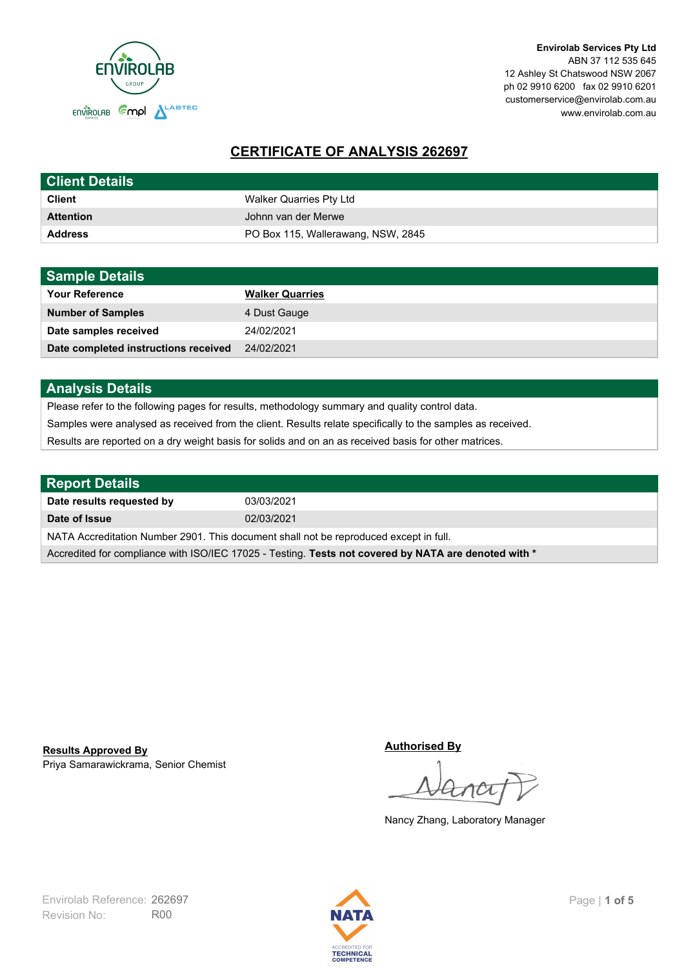

**Envirolab Services Pty Ltd** ABN 37 112 535 645 12 Ashley St Chatswood NSW 2067 ph 02 9910 6200 fax 02 9910 6201 customerservice@envirolab.com.au www.envirolab.com.au

# **CERTIFICATE OF ANALYSIS 262697**

| <b>Client Details</b> |                                    |
|-----------------------|------------------------------------|
| <b>Client</b>         | Walker Quarries Pty Ltd            |
| <b>Attention</b>      | Johnn van der Merwe                |
| <b>Address</b>        | PO Box 115, Wallerawang, NSW, 2845 |

| <b>Sample Details</b>                |                        |
|--------------------------------------|------------------------|
| <b>Your Reference</b>                | <b>Walker Quarries</b> |
| <b>Number of Samples</b>             | 4 Dust Gauge           |
| Date samples received                | 24/02/2021             |
| Date completed instructions received | 24/02/2021             |

## **Analysis Details**

Please refer to the following pages for results, methodology summary and quality control data.

Samples were analysed as received from the client. Results relate specifically to the samples as received.

Results are reported on a dry weight basis for solids and on an as received basis for other matrices.

| <b>Report Details</b>                                                                                |            |  |
|------------------------------------------------------------------------------------------------------|------------|--|
| Date results requested by                                                                            | 03/03/2021 |  |
| Date of Issue                                                                                        | 02/03/2021 |  |
| NATA Accreditation Number 2901. This document shall not be reproduced except in full.                |            |  |
| Accredited for compliance with ISO/IEC 17025 - Testing. Tests not covered by NATA are denoted with * |            |  |

Priya Samarawickrama, Senior Chemist **Results Approved By**

**Authorised By**

Nancy Zhang, Laboratory Manager

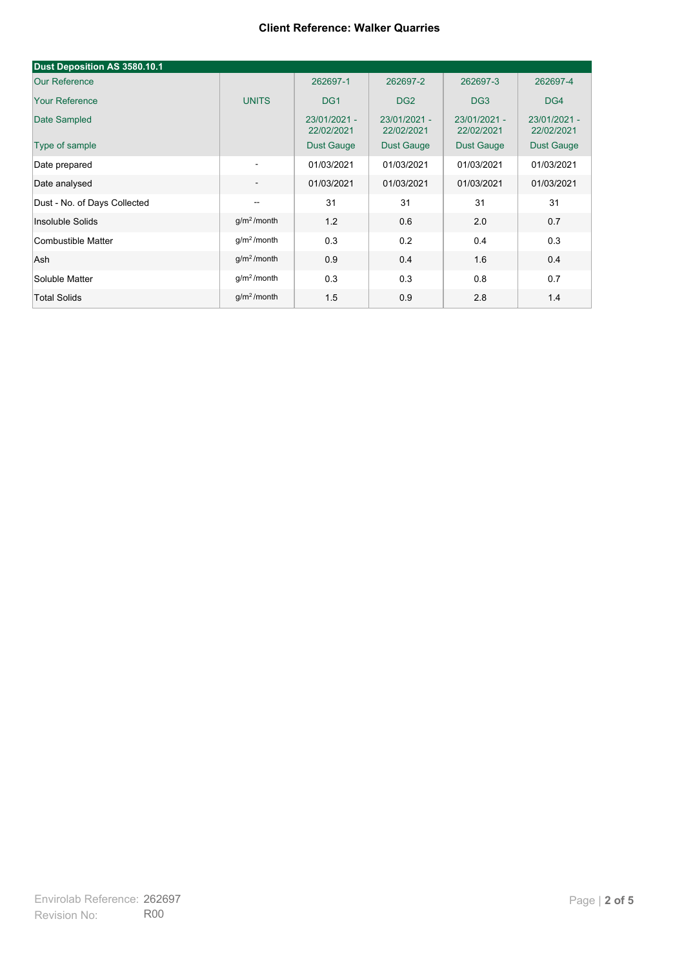| Dust Deposition AS 3580.10.1 |                          |                            |                            |                            |                            |
|------------------------------|--------------------------|----------------------------|----------------------------|----------------------------|----------------------------|
| <b>Our Reference</b>         |                          | 262697-1                   | 262697-2                   | 262697-3                   | 262697-4                   |
| <b>Your Reference</b>        | <b>UNITS</b>             | DG <sub>1</sub>            | DG <sub>2</sub>            | DG <sub>3</sub>            | DG4                        |
| Date Sampled                 |                          | 23/01/2021 -<br>22/02/2021 | 23/01/2021 -<br>22/02/2021 | 23/01/2021 -<br>22/02/2021 | 23/01/2021 -<br>22/02/2021 |
| Type of sample               |                          | <b>Dust Gauge</b>          | <b>Dust Gauge</b>          | <b>Dust Gauge</b>          | Dust Gauge                 |
| Date prepared                | $\overline{\phantom{a}}$ | 01/03/2021                 | 01/03/2021                 | 01/03/2021                 | 01/03/2021                 |
| Date analysed                | $\overline{\phantom{a}}$ | 01/03/2021                 | 01/03/2021                 | 01/03/2021                 | 01/03/2021                 |
| Dust - No. of Days Collected | $\overline{\phantom{a}}$ | 31                         | 31                         | 31                         | 31                         |
| Insoluble Solids             | g/m <sup>2</sup> /month  | 1.2                        | 0.6                        | 2.0                        | 0.7                        |
| Combustible Matter           | q/m <sup>2</sup> /month  | 0.3                        | 0.2                        | 0.4                        | 0.3                        |
| Ash                          | g/m <sup>2</sup> /month  | 0.9                        | 0.4                        | 1.6                        | 0.4                        |
| Soluble Matter               | g/m <sup>2</sup> /month  | 0.3                        | 0.3                        | 0.8                        | 0.7                        |
| <b>Total Solids</b>          | g/m <sup>2</sup> /month  | 1.5                        | 0.9                        | 2.8                        | 1.4                        |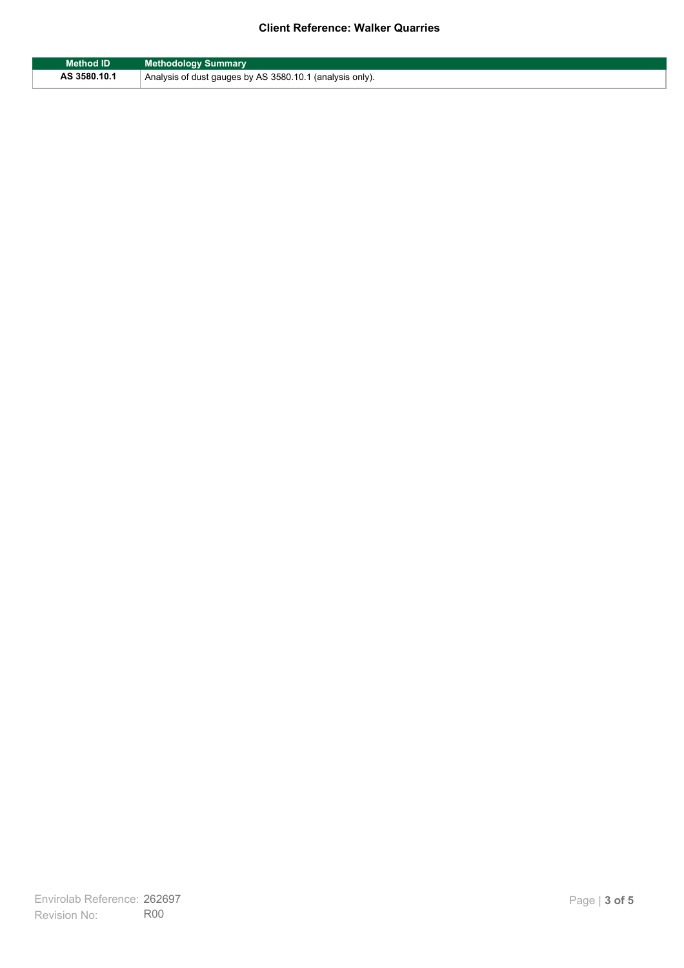| <b>Method ID</b> | <b>Methodology Summary</b>                               |
|------------------|----------------------------------------------------------|
| AS 3580.10.1     | Analysis of dust gauges by AS 3580.10.1 (analysis only). |

F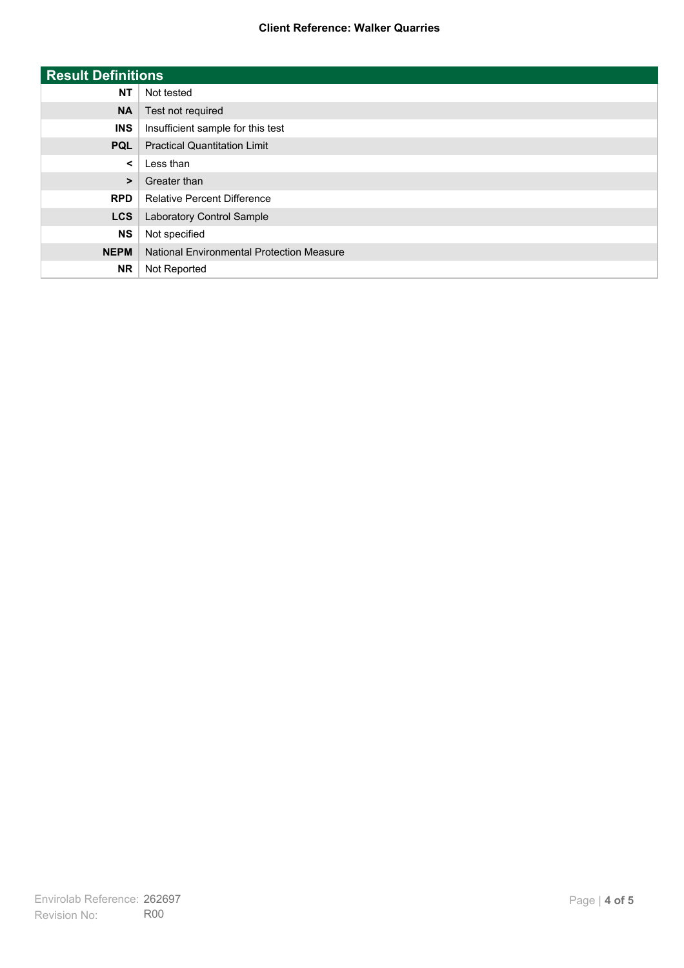| <b>Result Definitions</b> |                                           |
|---------------------------|-------------------------------------------|
| <b>NT</b>                 | Not tested                                |
| <b>NA</b>                 | Test not required                         |
| <b>INS</b>                | Insufficient sample for this test         |
| <b>PQL</b>                | <b>Practical Quantitation Limit</b>       |
| $\prec$                   | Less than                                 |
| $\geq$                    | Greater than                              |
| <b>RPD</b>                | <b>Relative Percent Difference</b>        |
| <b>LCS</b>                | Laboratory Control Sample                 |
| <b>NS</b>                 | Not specified                             |
| <b>NEPM</b>               | National Environmental Protection Measure |
| <b>NR</b>                 | Not Reported                              |